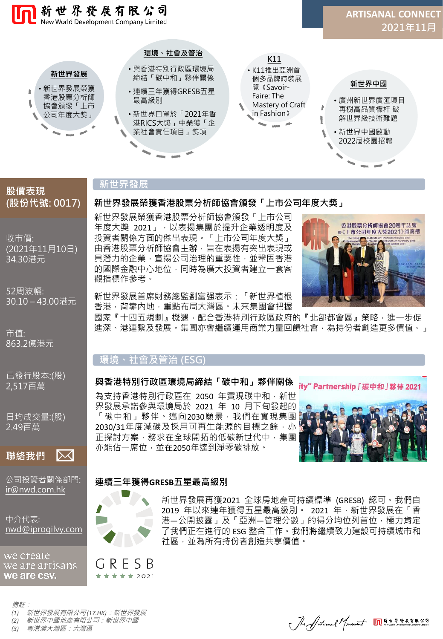

# **新世界發展**

觀指標作參考。

# **(股份代號: 0017)**

**股價表現**

收市價: (2021年11月10日) 34.30港元

52周波幅: 30.10 – 43.00港元

市值: 863.2億港元

已發行股本:(股) 2,517百萬

日均成交量:(股) 2.49百萬



公司投資者關係部門: [ir@nwd.com.hk](mailto:ir@nwd.com.hk)

中介代表: [nwd@iprogilvy.com](mailto:nwd@iprogilvy.com)

we create we are artisans we are csv.

GRESB ★ ★ ★ ★ ★ 2021

新世界發展再獲2021 全球房地產可持續標準 (GRESB) 認可。我們自 2019 年以來連年獲得五星最高級別。 2021 年, 新世界發展在「香 港—公開披露, 及「亞洲—管理分數, 的得分均位列首位, 極力肯定 了我們正在進行的 ESG 整合工作。我們將繼續致力建設可持續城市和 社區,並為所有持份者創造共享價值。

新世界發展首席財務總監劉富强表示:「新世界植根 香港,背靠內地,重點布局大灣區。未來集團會把握

新世界發展榮獲香港股票分析師協會頒發「上市公司 年度大獎 2021」,以表揚集團於提升企業透明度及 投資者關係方面的傑出表現。「上市公司年度大獎」 由香港股票分析師協會主辦,旨在表揚有突出表現或 具潛力的企業,宣揚公司治理的重要性,並鞏固香港 的國際金融中心地位,同時為廣大投資者建立一套客

**新世界發展榮獲香港股票分析師協會頒發「上市公司年度大獎」**

國家『十四五規劃』機遇,配合香港特別行政區政府的『北部都會區』策略,進一步促 進深、港連繫及發展。集團亦會繼續運用商業力量回饋社會,為持份者創造更多價值。」

## **環境、社會及管治 (ESG)**

### **與香港特別行政區環境局締結「碳中和」夥伴關係**

為支持香港特別行政區在 2050 年實現碳中和, 新世 界發展承諾參與環境局於 2021 年 10 月下旬發起的 「碳中和」夥伴。邁向2030願景,我們在實現集團 2030/31年度減碳及採用可再生能源的目標之餘, 亦 正探討方案,務求在全球開拓的低碳新世代中,集團 亦能佔一席位,並在2050年達到淨零碳排放。



Jhe Articanal Mouement On \*\*\*\*\*\*\*\*\*\*\*\*

ity" Partnership 「碳中和」 夥伴 2021

香港股票分析師協會20週年誌慶 暨《上市公司年度大獎2021》頒獎禮

## **連續三年獲得GRESB五星最高級別**



備註:

- *(1)* 新世界發展有限公司 *(17.HK)*:新世界發展 *(2)* 新世界中國地產有限公司:新世界中國
- *(3)* 粵港澳大灣區:大灣區